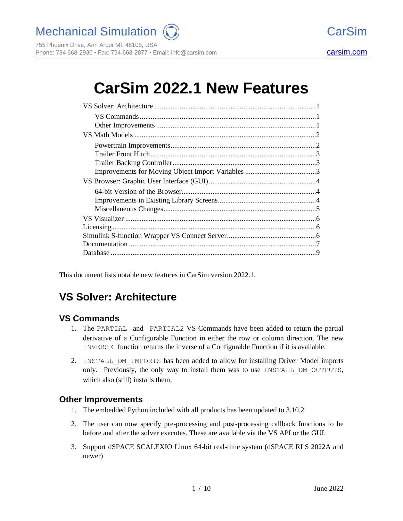Mechanical Simulation (C) and the contract of CarSim

755 Phoenix Drive, Ann Arbor MI, 48108, USA Phone: 734 668-2930 • Fax: 734 668-2877 • Email: info@[carsim.com](http://www.carsim.com/) carsimeters carsim.com carsim.com

# **CarSim 2022.1 New Features**

This document lists notable new features in CarSim version 2022.1.

# **VS Solver: Architecture**

#### **VS Commands**

- 1. The PARTIAL and PARTIAL2 VS Commands have been added to return the partial derivative of a Configurable Function in either the row or column direction. The new INVERSE function returns the inverse of a Configurable Function if it is available.
- 2. INSTALL\_DM\_IMPORTS has been added to allow for installing Driver Model imports only. Previously, the only way to install them was to use INSTALL\_DM\_OUTPUTS, which also (still) installs them.

#### **Other Improvements**

- 1. The embedded Python included with all products has been updated to 3.10.2.
- 2. The user can now specify pre-processing and post-processing callback functions to be before and after the solver executes. These are available via the VS API or the GUI.
- 3. Support dSPACE SCALEXIO Linux 64-bit real-time system (dSPACE RLS 2022A and newer)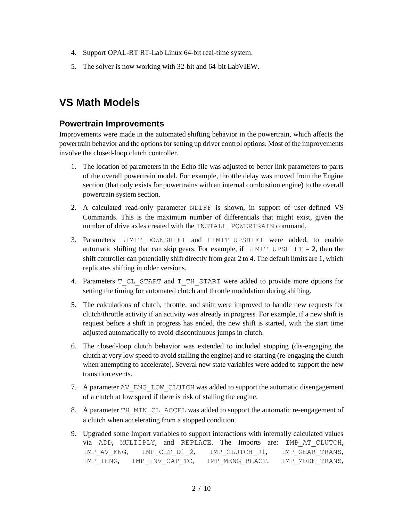- 4. Support OPAL-RT RT-Lab Linux 64-bit real-time system.
- 5. The solver is now working with 32-bit and 64-bit LabVIEW.

### **VS Math Models**

#### **Powertrain Improvements**

Improvements were made in the automated shifting behavior in the powertrain, which affects the powertrain behavior and the options for setting up driver control options. Most of the improvements involve the closed-loop clutch controller.

- 1. The location of parameters in the Echo file was adjusted to better link parameters to parts of the overall powertrain model. For example, throttle delay was moved from the Engine section (that only exists for powertrains with an internal combustion engine) to the overall powertrain system section.
- 2. A calculated read-only parameter NDIFF is shown, in support of user-defined VS Commands. This is the maximum number of differentials that might exist, given the number of drive axles created with the INSTALL\_POWERTRAIN command.
- 3. Parameters LIMIT DOWNSHIFT and LIMIT UPSHIFT were added, to enable automatic shifting that can skip gears. For example, if  $LIMIT$  UPSHIFT = 2, then the shift controller can potentially shift directly from gear 2 to 4. The default limits are 1, which replicates shifting in older versions.
- 4. Parameters T\_CL\_START and T\_TH\_START were added to provide more options for setting the timing for automated clutch and throttle modulation during shifting.
- 5. The calculations of clutch, throttle, and shift were improved to handle new requests for clutch/throttle activity if an activity was already in progress. For example, if a new shift is request before a shift in progress has ended, the new shift is started, with the start time adjusted automatically to avoid discontinuous jumps in clutch.
- 6. The closed-loop clutch behavior was extended to included stopping (dis-engaging the clutch at very low speed to avoid stalling the engine) and re-starting (re-engaging the clutch when attempting to accelerate). Several new state variables were added to support the new transition events.
- 7. A parameter AV\_ENG\_LOW\_CLUTCH was added to support the automatic disengagement of a clutch at low speed if there is risk of stalling the engine.
- 8. A parameter TH\_MIN\_CL\_ACCEL was added to support the automatic re-engagement of a clutch when accelerating from a stopped condition.
- 9. Upgraded some Import variables to support interactions with internally calculated values via ADD, MULTIPLY, and REPLACE. The Imports are: IMP\_AT\_CLUTCH, IMP\_AV\_ENG, IMP\_CLT\_D1\_2, IMP\_CLUTCH\_D1, IMP\_GEAR\_TRANS, IMP\_IENG, IMP\_INV\_CAP\_TC, IMP\_MENG\_REACT, IMP\_MODE\_TRANS,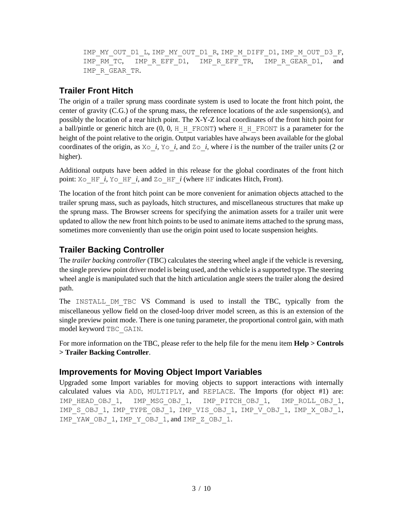```
IMP_MY_OUT_D1_L, IMP_MY_OUT_D1_R, IMP_M_DIFF_D1, IMP_M_OUT_D3_F,
IMP_RM_TC, IMP_R_EFF_D1, IMP_R_EFF_TR, IMP_R_GEAR_D1, and
IMP_R_GEAR_TR.
```
#### **Trailer Front Hitch**

The origin of a trailer sprung mass coordinate system is used to locate the front hitch point, the center of gravity (C.G.) of the sprung mass, the reference locations of the axle suspension(s), and possibly the location of a rear hitch point. The X-Y-Z local coordinates of the front hitch point for a ball/pintle or generic hitch are  $(0, 0, H$  H\_FRONT) where H\_H\_FRONT is a parameter for the height of the point relative to the origin. Output variables have always been available for the global coordinates of the origin, as  $X \circ i$ ,  $Y \circ i$ , and  $Z \circ i$ , where *i* is the number of the trailer units (2 or higher).

Additional outputs have been added in this release for the global coordinates of the front hitch point:  $X \circ HF$  *i*,  $Y \circ HF$  *i*, and  $Z \circ HF$  *i* (where HF indicates Hitch, Front).

The location of the front hitch point can be more convenient for animation objects attached to the trailer sprung mass, such as payloads, hitch structures, and miscellaneous structures that make up the sprung mass. The Browser screens for specifying the animation assets for a trailer unit were updated to allow the new front hitch points to be used to animate items attached to the sprung mass, sometimes more conveniently than use the origin point used to locate suspension heights.

### **Trailer Backing Controller**

The *trailer backing controller* (TBC) calculates the steering wheel angle if the vehicle is reversing, the single preview point driver model is being used, and the vehicle is a supported type. The steering wheel angle is manipulated such that the hitch articulation angle steers the trailer along the desired path.

The INSTALL\_DM\_TBC VS Command is used to install the TBC, typically from the miscellaneous yellow field on the closed-loop driver model screen, as this is an extension of the single preview point mode. There is one tuning parameter, the proportional control gain, with math model keyword TBC\_GAIN.

For more information on the TBC, please refer to the help file for the menu item **Help > Controls > Trailer Backing Controller**.

#### **Improvements for Moving Object Import Variables**

Upgraded some Import variables for moving objects to support interactions with internally calculated values via ADD, MULTIPLY, and REPLACE. The Imports (for object #1) are: IMP\_HEAD\_OBJ\_1, IMP\_MSG\_OBJ\_1, IMP\_PITCH\_OBJ\_1, IMP\_ROLL\_OBJ\_1, IMP\_S\_OBJ\_1, IMP\_TYPE\_OBJ\_1, IMP\_VIS\_OBJ\_1, IMP\_V\_OBJ\_1, IMP\_X\_OBJ\_1, IMP\_YAW\_OBJ\_1, IMP\_Y\_OBJ\_1, and IMP\_Z\_OBJ\_1.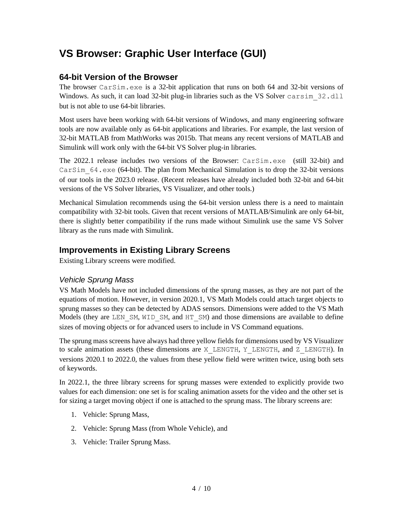### **VS Browser: Graphic User Interface (GUI)**

#### **64-bit Version of the Browser**

The browser CarSim.exe is a 32-bit application that runs on both 64 and 32-bit versions of Windows. As such, it can load 32-bit plug-in libraries such as the VS Solver carsim 32.dll but is not able to use 64-bit libraries.

Most users have been working with 64-bit versions of Windows, and many engineering software tools are now available only as 64-bit applications and libraries. For example, the last version of 32-bit MATLAB from MathWorks was 2015b. That means any recent versions of MATLAB and Simulink will work only with the 64-bit VS Solver plug-in libraries.

The 2022.1 release includes two versions of the Browser: CarSim.exe (still 32-bit) and CarSim  $64$ .exe (64-bit). The plan from Mechanical Simulation is to drop the 32-bit versions of our tools in the 2023.0 release. (Recent releases have already included both 32-bit and 64-bit versions of the VS Solver libraries, VS Visualizer, and other tools.)

Mechanical Simulation recommends using the 64-bit version unless there is a need to maintain compatibility with 32-bit tools. Given that recent versions of MATLAB/Simulink are only 64-bit, there is slightly better compatibility if the runs made without Simulink use the same VS Solver library as the runs made with Simulink.

#### **Improvements in Existing Library Screens**

Existing Library screens were modified.

#### *Vehicle Sprung Mass*

VS Math Models have not included dimensions of the sprung masses, as they are not part of the equations of motion. However, in version 2020.1, VS Math Models could attach target objects to sprung masses so they can be detected by ADAS sensors. Dimensions were added to the VS Math Models (they are LEN  $SM$ , WID  $SM$ , and HT  $SM$ ) and those dimensions are available to define sizes of moving objects or for advanced users to include in VS Command equations.

The sprung mass screens have always had three yellow fields for dimensions used by VS Visualizer to scale animation assets (these dimensions are X\_LENGTH, Y\_LENGTH, and Z\_LENGTH). In versions 2020.1 to 2022.0, the values from these yellow field were written twice, using both sets of keywords.

In 2022.1, the three library screens for sprung masses were extended to explicitly provide two values for each dimension: one set is for scaling animation assets for the video and the other set is for sizing a target moving object if one is attached to the sprung mass. The library screens are:

- 1. Vehicle: Sprung Mass,
- 2. Vehicle: Sprung Mass (from Whole Vehicle), and
- 3. Vehicle: Trailer Sprung Mass.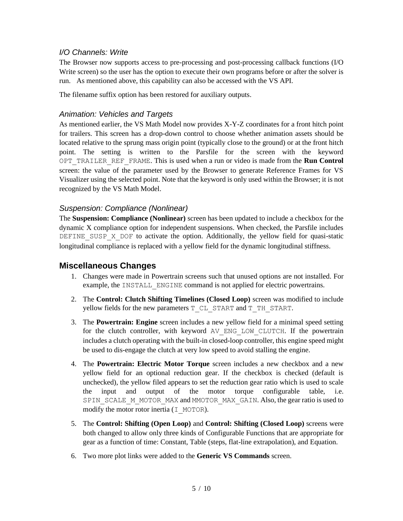#### <span id="page-4-0"></span>*I/O Channels: Write*

The Browser now supports access to pre-processing and post-processing callback functions (I/O Write screen) so the user has the option to execute their own programs before or after the solver is run. As mentioned above, this capability can also be accessed with the VS API.

The filename suffix option has been restored for auxiliary outputs.

#### *Animation: Vehicles and Targets*

As mentioned earlier, the VS Math Model now provides X-Y-Z coordinates for a front hitch point for trailers. This screen has a drop-down control to choose whether animation assets should be located relative to the sprung mass origin point (typically close to the ground) or at the front hitch point. The setting is written to the Parsfile for the screen with the keyword OPT\_TRAILER\_REF\_FRAME. This is used when a run or video is made from the **Run Control** screen: the value of the parameter used by the Browser to generate Reference Frames for VS Visualizer using the selected point. Note that the keyword is only used within the Browser; it is not recognized by the VS Math Model.

#### *Suspension: Compliance (Nonlinear)*

The **Suspension: Compliance (Nonlinear)** screen has been updated to include a checkbox for the dynamic X compliance option for independent suspensions. When checked, the Parsfile includes DEFINE SUSP X DOF to activate the option. Additionally, the yellow field for quasi-static longitudinal compliance is replaced with a yellow field for the dynamic longitudinal stiffness.

#### **Miscellaneous Changes**

- 1. Changes were made in Powertrain screens such that unused options are not installed. For example, the INSTALL ENGINE command is not applied for electric powertrains.
- 2. The **Control: Clutch Shifting Timelines (Closed Loop)** screen was modified to include yellow fields for the new parameters T\_CL\_START and T\_TH\_START.
- 3. The **Powertrain: Engine** screen includes a new yellow field for a minimal speed setting for the clutch controller, with keyword AV\_ENG\_LOW\_CLUTCH. If the powertrain includes a clutch operating with the built-in closed-loop controller, this engine speed might be used to dis-engage the clutch at very low speed to avoid stalling the engine.
- 4. The **Powertrain: Electric Motor Torque** screen includes a new checkbox and a new yellow field for an optional reduction gear. If the checkbox is checked (default is unchecked), the yellow filed appears to set the reduction gear ratio which is used to scale the input and output of the motor torque configurable table, i.e. SPIN\_SCALE\_M\_MOTOR\_MAX and MMOTOR\_MAX\_GAIN. Also, the gear ratio is used to modify the motor rotor inertia  $(I$  MOTOR).
- 5. The **Control: Shifting (Open Loop)** and **Control: Shifting (Closed Loop)** screens were both changed to allow only three kinds of Configurable Functions that are appropriate for gear as a function of time: Constant, Table (steps, flat-line extrapolation), and Equation.
- 6. Two more plot links were added to the **Generic VS Commands** screen.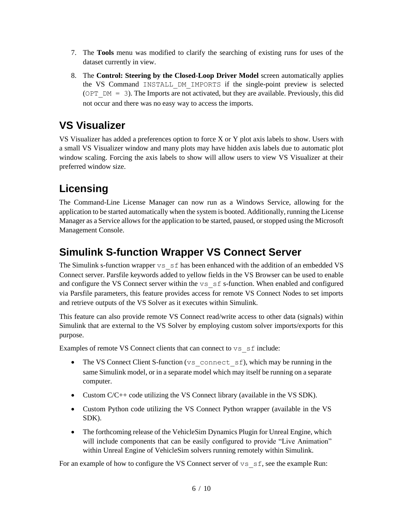- 7. The **Tools** menu was modified to clarify the searching of existing runs for uses of the dataset currently in view.
- 8. The **Control: Steering by the Closed-Loop Driver Model** screen automatically applies the VS Command INSTALL\_DM\_IMPORTS if the single-point preview is selected (OPT  $DM = 3$ ). The Imports are not activated, but they are available. Previously, this did not occur and there was no easy way to access the imports.

# **VS Visualizer**

VS Visualizer has added a preferences option to force X or Y plot axis labels to show. Users with a small VS Visualizer window and many plots may have hidden axis labels due to automatic plot window scaling. Forcing the axis labels to show will allow users to view VS Visualizer at their preferred window size.

# **Licensing**

The Command-Line License Manager can now run as a Windows Service, allowing for the application to be started automatically when the system is booted. Additionally, running the License Manager as a Service allows for the application to be started, paused, or stopped using the Microsoft Management Console.

# **Simulink S-function Wrapper VS Connect Server**

The Simulink s-function wrapper  $v_s$  s f has been enhanced with the addition of an embedded VS Connect server. Parsfile keywords added to yellow fields in the VS Browser can be used to enable and configure the VS Connect server within the  $\vee$ s  $\leq$  f s-function. When enabled and configured via Parsfile parameters, this feature provides access for remote VS Connect Nodes to set imports and retrieve outputs of the VS Solver as it executes within Simulink.

This feature can also provide remote VS Connect read/write access to other data (signals) within Simulink that are external to the VS Solver by employing custom solver imports/exports for this purpose.

Examples of remote VS Connect clients that can connect to vs sf include:

- The VS Connect Client S-function (vs\_connect\_sf), which may be running in the same Simulink model, or in a separate model which may itself be running on a separate computer.
- Custom C/C++ code utilizing the VS Connect library (available in the VS SDK).
- Custom Python code utilizing the VS Connect Python wrapper (available in the VS SDK).
- The forthcoming release of the VehicleSim Dynamics Plugin for Unreal Engine, which will include components that can be easily configured to provide "Live Animation" within Unreal Engine of VehicleSim solvers running remotely within Simulink.

For an example of how to configure the VS Connect server of  $\vee$ s sf, see the example Run: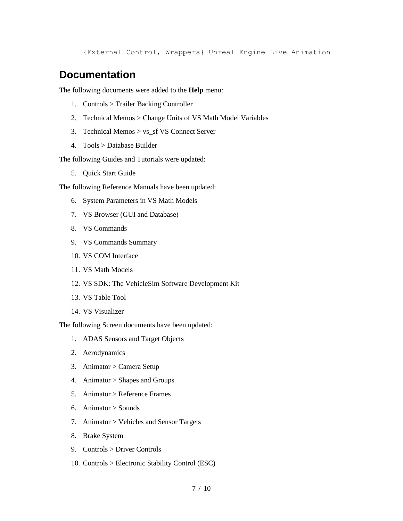{External Control, Wrappers} Unreal Engine Live Animation

### **Documentation**

The following documents were added to the **Help** menu:

- 1. Controls > Trailer Backing Controller
- 2. Technical Memos > Change Units of VS Math Model Variables
- 3. Technical Memos > vs\_sf VS Connect Server
- 4. Tools > Database Builder

The following Guides and Tutorials were updated:

5. Quick Start Guide

The following Reference Manuals have been updated:

- 6. System Parameters in VS Math Models
- 7. VS Browser (GUI and Database)
- 8. VS Commands
- 9. VS Commands Summary
- 10. VS COM Interface
- 11. VS Math Models
- 12. VS SDK: The VehicleSim Software Development Kit
- 13. VS Table Tool
- 14. VS Visualizer

The following Screen documents have been updated:

- 1. ADAS Sensors and Target Objects
- 2. Aerodynamics
- 3. Animator > Camera Setup
- 4. Animator > Shapes and Groups
- 5. Animator > Reference Frames
- 6. Animator > Sounds
- 7. Animator > Vehicles and Sensor Targets
- 8. Brake System
- 9. Controls > Driver Controls
- 10. Controls > Electronic Stability Control (ESC)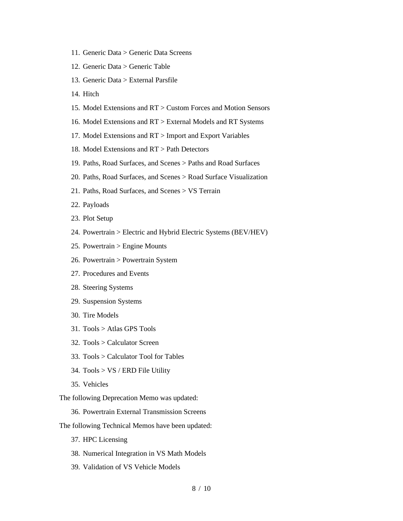- 11. Generic Data > Generic Data Screens
- 12. Generic Data > Generic Table
- 13. Generic Data > External Parsfile
- 14. Hitch
- 15. Model Extensions and RT > Custom Forces and Motion Sensors
- 16. Model Extensions and RT > External Models and RT Systems
- 17. Model Extensions and RT > Import and Export Variables
- 18. Model Extensions and RT > Path Detectors
- 19. Paths, Road Surfaces, and Scenes > Paths and Road Surfaces
- 20. Paths, Road Surfaces, and Scenes > Road Surface Visualization
- 21. Paths, Road Surfaces, and Scenes > VS Terrain
- 22. Payloads
- 23. Plot Setup
- 24. Powertrain > Electric and Hybrid Electric Systems (BEV/HEV)
- 25. Powertrain > Engine Mounts
- 26. Powertrain > Powertrain System
- 27. Procedures and Events
- 28. Steering Systems
- 29. Suspension Systems
- 30. Tire Models
- 31. Tools > Atlas GPS Tools
- 32. Tools > Calculator Screen
- 33. Tools > Calculator Tool for Tables
- 34. Tools > VS / ERD File Utility
- 35. Vehicles

The following Deprecation Memo was updated:

- 36. Powertrain External Transmission Screens
- The following Technical Memos have been updated:
	- 37. HPC Licensing
	- 38. Numerical Integration in VS Math Models
	- 39. Validation of VS Vehicle Models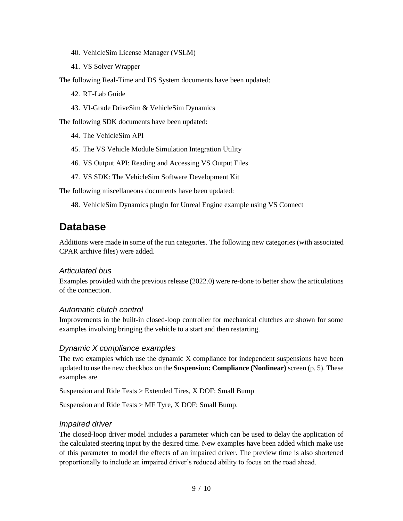- 40. VehicleSim License Manager (VSLM)
- 41. VS Solver Wrapper

The following Real-Time and DS System documents have been updated:

- 42. RT-Lab Guide
- 43. VI-Grade DriveSim & VehicleSim Dynamics

The following SDK documents have been updated:

- 44. The VehicleSim API
- 45. The VS Vehicle Module Simulation Integration Utility
- 46. VS Output API: Reading and Accessing VS Output Files
- 47. VS SDK: The VehicleSim Software Development Kit

The following miscellaneous documents have been updated:

48. VehicleSim Dynamics plugin for Unreal Engine example using VS Connect

### **Database**

Additions were made in some of the run categories. The following new categories (with associated CPAR archive files) were added.

#### *Articulated bus*

Examples provided with the previous release (2022.0) were re-done to better show the articulations of the connection.

#### *Automatic clutch control*

Improvements in the built-in closed-loop controller for mechanical clutches are shown for some examples involving bringing the vehicle to a start and then restarting.

#### *Dynamic X compliance examples*

The two examples which use the dynamic X compliance for independent suspensions have been updated to use the new checkbox on the **Suspension: Compliance (Nonlinear)** screen (p[. 5\)](#page-4-0). These examples are

Suspension and Ride Tests > Extended Tires, X DOF: Small Bump

Suspension and Ride Tests > MF Tyre, X DOF: Small Bump.

#### *Impaired driver*

The closed-loop driver model includes a parameter which can be used to delay the application of the calculated steering input by the desired time. New examples have been added which make use of this parameter to model the effects of an impaired driver. The preview time is also shortened proportionally to include an impaired driver's reduced ability to focus on the road ahead.